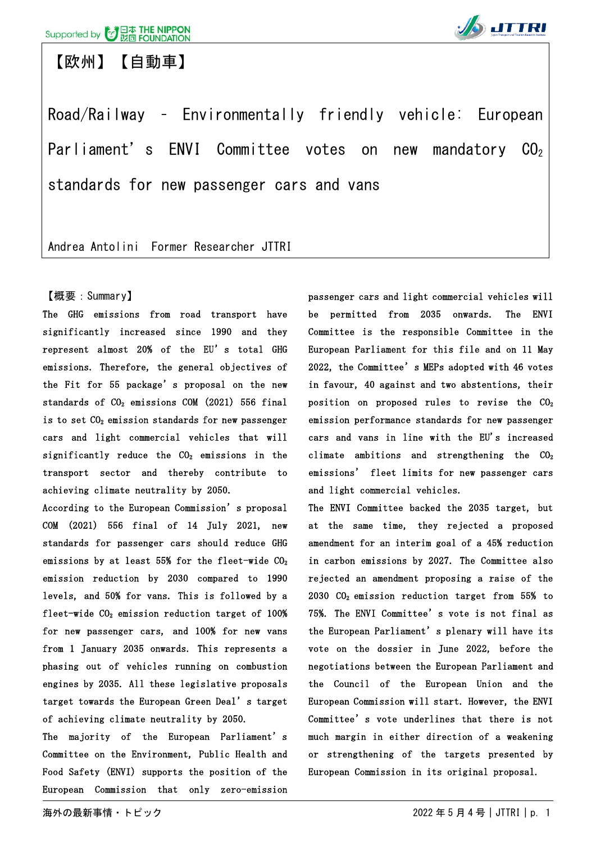【欧州】【自動車】



Road/Railway – Environmentally friendly vehicle: European Parliament's ENVI Committee votes on new mandatory  $CO<sub>2</sub>$ standards for new passenger cars and vans

Andrea Antolini Former Researcher JTTRI

#### 【概要:Summary】

The GHG emissions from road transport have significantly increased since 1990 and they represent almost 20% of the EU's total GHG emissions. Therefore, the general objectives of the Fit for 55 package's proposal on the new standards of  $CO<sub>2</sub>$  emissions  $COM$  (2021) 556 final is to set  $CO<sub>2</sub>$  emission standards for new passenger cars and light commercial vehicles that will significantly reduce the  $CO<sub>2</sub>$  emissions in the transport sector and thereby contribute to achieving climate neutrality by 2050.

According to the European Commission's proposal COM (2021) 556 final of 14 July 2021, new standards for passenger cars should reduce GHG emissions by at least 55% for the fleet-wide  $CO<sub>2</sub>$ emission reduction by 2030 compared to 1990 levels, and 50% for vans. This is followed by a fleet-wide  $CO<sub>2</sub>$  emission reduction target of 100% for new passenger cars, and 100% for new vans from 1 January 2035 onwards. This represents a phasing out of vehicles running on combustion engines by 2035. All these legislative proposals target towards the European Green Deal's target of achieving climate neutrality by 2050.

The majority of the European Parliament's Committee on the Environment, Public Health and Food Safety (ENVI) supports the position of the European Commission that only zero-emission passenger cars and light commercial vehicles will be permitted from 2035 onwards. The ENVI Committee is the responsible Committee in the European Parliament for this file and on 11 May 2022, the Committee's MEPs adopted with 46 votes in favour, 40 against and two abstentions, their position on proposed rules to revise the  $CO<sub>2</sub>$ emission performance standards for new passenger cars and vans in line with the EU's increased climate ambitions and strengthening the  $CO<sub>2</sub>$ emissions' fleet limits for new passenger cars and light commercial vehicles.

The ENVI Committee backed the 2035 target, but at the same time, they rejected a proposed amendment for an interim goal of a 45% reduction in carbon emissions by 2027. The Committee also rejected an amendment proposing a raise of the 2030 CO2 emission reduction target from 55% to 75%. The ENVI Committee's vote is not final as the European Parliament's plenary will have its vote on the dossier in June 2022, before the negotiations between the European Parliament and the Council of the European Union and the European Commission will start. However, the ENVI Committee's vote underlines that there is not much margin in either direction of a weakening or strengthening of the targets presented by European Commission in its original proposal.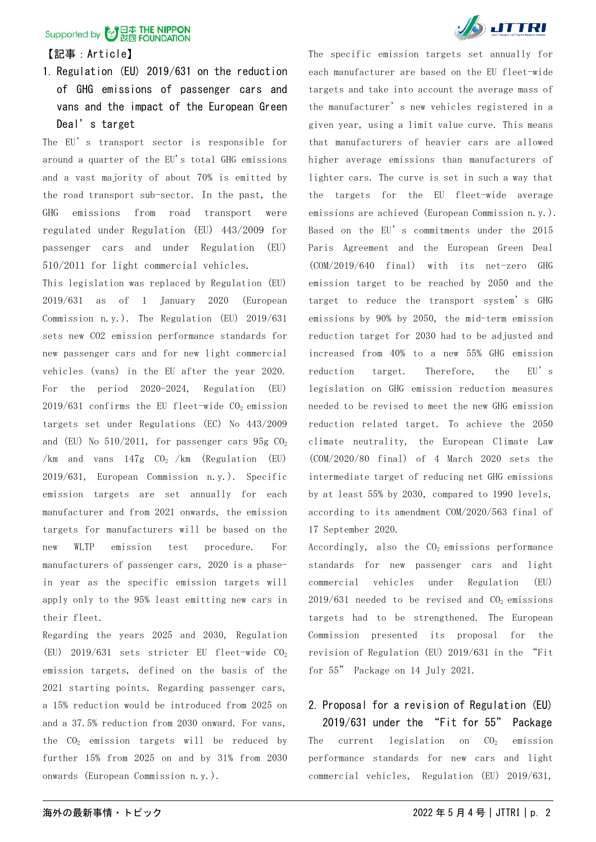#### 【記事:Article】

1. Regulation (EU) 2019/631 on the reduction of GHG emissions of passenger cars and vans and the impact of the European Green Deal's target

The EU's transport sector is responsible for around a quarter of the EU's total GHG emissions and a vast majority of about 70% is emitted by the road transport sub-sector. In the past, the GHG emissions from road transport were regulated under Regulation (EU) 443/2009 for passenger cars and under Regulation (EU) 510/2011 for light commercial vehicles.

This legislation was replaced by Regulation (EU) 2019/631 as of 1 January 2020 (European Commission n.y.). The Regulation (EU) 2019/631 sets new CO2 emission performance standards for new passenger cars and for new light commercial vehicles (vans) in the EU after the year 2020. For the period 2020-2024, Regulation (EU)  $2019/631$  confirms the EU fleet-wide  $CO<sub>2</sub>$  emission targets set under Regulations (EC) No 443/2009 and (EU) No  $510/2011$ , for passenger cars  $95g$  CO<sub>2</sub> /km and vans  $147g$  CO<sub>2</sub> /km (Regulation (EU) 2019/631, European Commission n.y.). Specific emission targets are set annually for each manufacturer and from 2021 onwards, the emission targets for manufacturers will be based on the new WLTP emission test procedure. For manufacturers of passenger cars, 2020 is a phasein year as the specific emission targets will apply only to the 95% least emitting new cars in their fleet.

Regarding the years 2025 and 2030, Regulation (EU)  $2019/631$  sets stricter EU fleet-wide  $CO<sub>2</sub>$ emission targets, defined on the basis of the 2021 starting points. Regarding passenger cars, a 15% reduction would be introduced from 2025 on and a 37.5% reduction from 2030 onward. For vans, the  $CO<sub>2</sub>$  emission targets will be reduced by further 15% from 2025 on and by 31% from 2030 onwards (European Commission n.y.).



The specific emission targets set annually for each manufacturer are based on the EU fleet-wide targets and take into account the average mass of the manufacturer's new vehicles registered in a given year, using a limit value curve. This means that manufacturers of heavier cars are allowed higher average emissions than manufacturers of lighter cars. The curve is set in such a way that the targets for the EU fleet-wide average emissions are achieved (European Commission n.y.). Based on the EU's commitments under the 2015 Paris Agreement and the European Green Deal (COM/2019/640 final) with its net-zero GHG emission target to be reached by 2050 and the target to reduce the transport system's GHG emissions by 90% by 2050, the mid-term emission reduction target for 2030 had to be adjusted and increased from 40% to a new 55% GHG emission reduction target. Therefore, the EU's legislation on GHG emission reduction measures needed to be revised to meet the new GHG emission reduction related target. To achieve the 2050 climate neutrality, the [European Climate Law](https://ec.europa.eu/clima/policies/eu-climate-action/law_en) (COM/2020/80 final) of 4 March 2020 sets the intermediate target of reducing net GHG emissions by at least 55% by 2030, compared to 1990 levels, according to its amendment COM/2020/563 final of 17 September 2020.

Accordingly, also the  $CO<sub>2</sub>$  emissions performance standards for new passenger cars and light commercial vehicles under Regulation (EU)  $2019/631$  needed to be revised and  $CO<sub>2</sub>$  emissions targets had to be strengthened. The European Commission presented its proposal for the revision of Regulation (EU) 2019/631 in the "Fit for 55" Package on 14 July 2021.

### 2. Proposal for a revision of Regulation (EU)

2019/631 under the "Fit for 55" Package The current legislation on  $CO<sub>2</sub>$  emission performance standards for new cars and light commercial vehicles, Regulation (EU) 2019/631,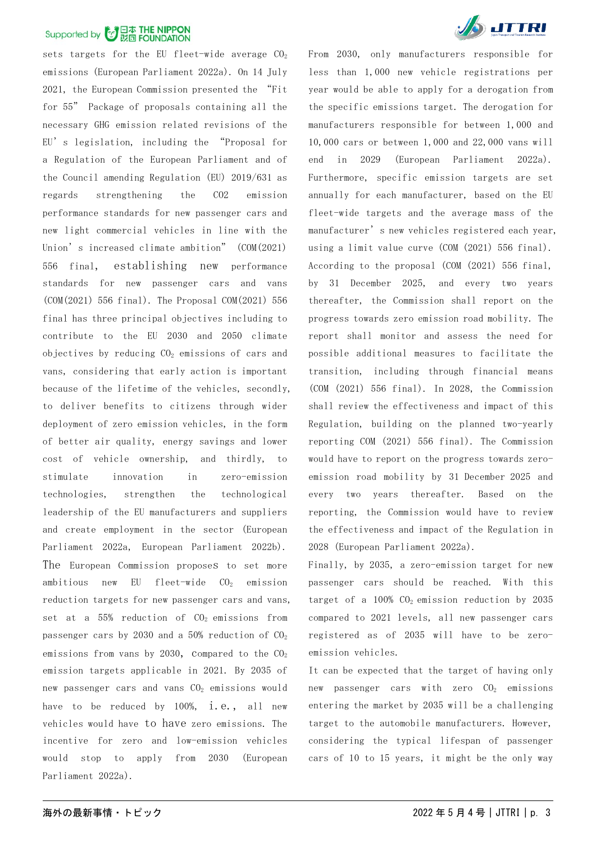sets targets for the EU fleet-wide average  $CO<sub>2</sub>$ emissions (European Parliament 2022a). On 14 July 2021, the European Commission presented the "Fit for 55" Package of proposals containing all the necessary GHG emission related revisions of the EU's legislation, including the "Proposal for a Regulation of the European Parliament and of the Council amending Regulation (EU) 2019/631 as regards strengthening the CO2 emission performance standards for new passenger cars and new light commercial vehicles in line with the Union's increased climate ambition" (COM(2021) 556 final, establishing new performance standards for new passenger cars and vans (COM(2021) 556 final). The Proposal COM(2021) 556 final has three principal objectives including to contribute to the EU 2030 and 2050 climate objectives by reducing  $CO<sub>2</sub>$  emissions of cars and vans, considering that early action is important because of the lifetime of the vehicles, secondly, to deliver benefits to citizens through wider deployment of zero emission vehicles, in the form of better air quality, energy savings and lower cost of vehicle ownership, and thirdly, to stimulate innovation in zero-emission technologies, strengthen the technological leadership of the EU manufacturers and suppliers and create employment in the sector (European Parliament 2022a, European Parliament 2022b). The European Commission proposes to set more ambitious new EU fleet-wide  $CO<sub>2</sub>$  emission reduction targets for new passenger cars and vans, set at a  $55\%$  reduction of  $CO<sub>2</sub>$  emissions from passenger cars by 2030 and a 50% reduction of  $CO<sub>2</sub>$ emissions from vans by 2030, compared to the  $CO<sub>2</sub>$ emission targets applicable in 2021. By 2035 of new passenger cars and vans  $CO<sub>2</sub>$  emissions would have to be reduced by 100%, i.e., all new vehicles would have to have zero emissions. The incentive for zero and low-emission vehicles would stop to apply from 2030 (European Parliament 2022a).



From 2030, only manufacturers responsible for less than 1,000 new vehicle registrations per year would be able to apply for a derogation from the specific emissions target. The derogation for manufacturers responsible for between 1,000 and 10,000 cars or between 1,000 and 22,000 vans will end in 2029 (European Parliament 2022a). Furthermore, specific emission targets are set annually for each manufacturer, based on the EU fleet-wide targets and the average mass of the manufacturer's new vehicles registered each year, using a limit value curve (COM (2021) 556 final). According to the proposal (COM (2021) 556 final, by 31 December 2025, and every two years thereafter, the Commission shall report on the progress towards zero emission road mobility. The report shall monitor and assess the need for possible additional measures to facilitate the transition, including through financial means (COM (2021) 556 final). In 2028, the Commission shall review the effectiveness and impact of this Regulation, building on the planned two-yearly reporting COM (2021) 556 final). The Commission would have to report on the progress towards zeroemission road mobility by 31 December 2025 and every two years thereafter. Based on the reporting, the Commission would have to review the effectiveness and impact of the Regulation in 2028 (European Parliament 2022a).

Finally, by 2035, a zero-emission target for new passenger cars should be reached. With this target of a  $100\%$  CO<sub>2</sub> emission reduction by 2035 compared to 2021 levels, all new passenger cars registered as of 2035 will have to be zeroemission vehicles.

It can be expected that the target of having only new passenger cars with zero  $CO<sub>2</sub>$  emissions entering the market by 2035 will be a challenging target to the automobile manufacturers. However, considering the typical lifespan of passenger cars of 10 to 15 years, it might be the only way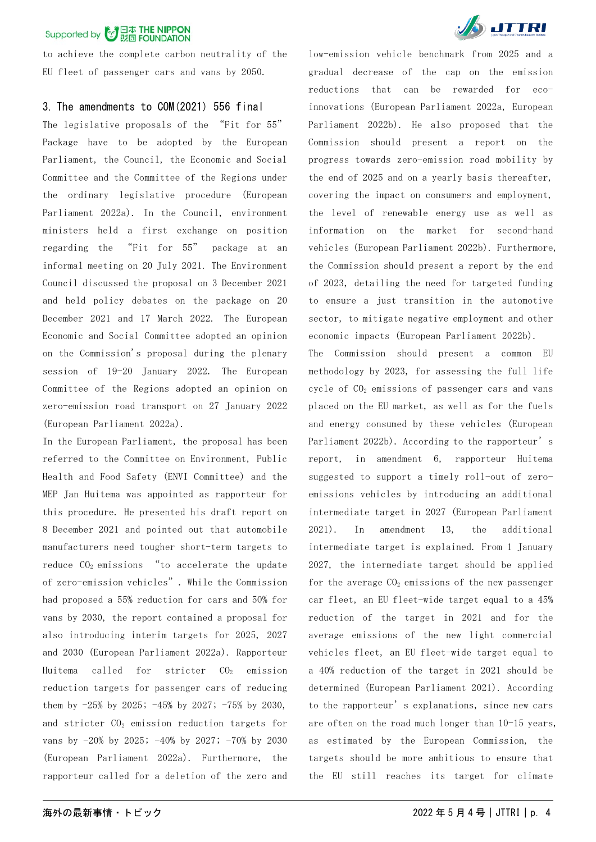to achieve the complete carbon neutrality of the EU fleet of passenger cars and vans by 2050.

#### 3. The amendments to COM(2021) 556 final

The legislative proposals of the "Fit for 55" Package have to be adopted by the European Parliament, the Council, the Economic and Social Committee and the Committee of the Regions under the ordinary legislative procedure (European Parliament 2022a). In the Council, environment ministers held a first exchange on position regarding the "Fit for 55" package at an informal meeting on 20 July 2021. The Environment Council discussed the proposal on 3 December 2021 and held policy debates on the package on 20 December 2021 and 17 March 2022. The European Economic and Social Committee adopted an opinion on the Commission's proposal during the plenary session of 19-20 January 2022. The European Committee of the Regions adopted an opinion on zero-emission road transport on 27 January 2022 (European Parliament 2022a).

In the European Parliament, the proposal has been referred to the Committee on Environment, Public Health and Food Safety (ENVI Committee) and the MEP Jan Huitema was appointed as rapporteur for this procedure. He presented his draft report on 8 December 2021 and pointed out that automobile manufacturers need tougher short-term targets to reduce  $CO<sub>2</sub>$  emissions "to accelerate the update of zero-emission vehicles". While the Commission had proposed a 55% reduction for cars and 50% for vans by 2030, the report contained a proposal for also introducing interim targets for 2025, 2027 and 2030 (European Parliament 2022a). Rapporteur Huitema called for stricter  $CO<sub>2</sub>$  emission reduction targets for passenger cars of reducing them by  $-25\%$  by 2025;  $-45\%$  by 2027;  $-75\%$  by 2030, and stricter  $CO<sub>2</sub>$  emission reduction targets for vans by -20% by 2025; -40% by 2027; -70% by 2030 (European Parliament 2022a). Furthermore, the rapporteur called for a deletion of the zero and



low-emission vehicle benchmark from 2025 and a gradual decrease of the cap on the emission reductions that can be rewarded for ecoinnovations (European Parliament 2022a, European Parliament 2022b). He also proposed that the Commission should present a report on the progress towards zero-emission road mobility by the end of 2025 and on a yearly basis thereafter, covering the impact on consumers and employment, the level of renewable energy use as well as information on the market for second-hand vehicles (European Parliament 2022b). Furthermore, the Commission should present a report by the end of 2023, detailing the need for targeted funding to ensure a just transition in the automotive sector, to mitigate negative employment and other economic impacts (European Parliament 2022b).

The Commission should present a common EU methodology by 2023, for assessing the full life cycle of CO2 emissions of passenger cars and vans placed on the EU market, as well as for the fuels and energy consumed by these vehicles (European Parliament 2022b). According to the rapporteur's report, in amendment 6, rapporteur Huitema suggested to support a timely roll-out of zeroemissions vehicles by introducing an additional intermediate target in 2027 (European Parliament 2021). In amendment 13, the additional intermediate target is explained. From 1 January 2027, the intermediate target should be applied for the average  $CO<sub>2</sub>$  emissions of the new passenger car fleet, an EU fleet-wide target equal to a 45% reduction of the target in 2021 and for the average emissions of the new light commercial vehicles fleet, an EU fleet-wide target equal to a 40% reduction of the target in 2021 should be determined (European Parliament 2021). According to the rapporteur's explanations, since new cars are often on the road much longer than 10-15 years, as estimated by the European Commission, the targets should be more ambitious to ensure that the EU still reaches its target for climate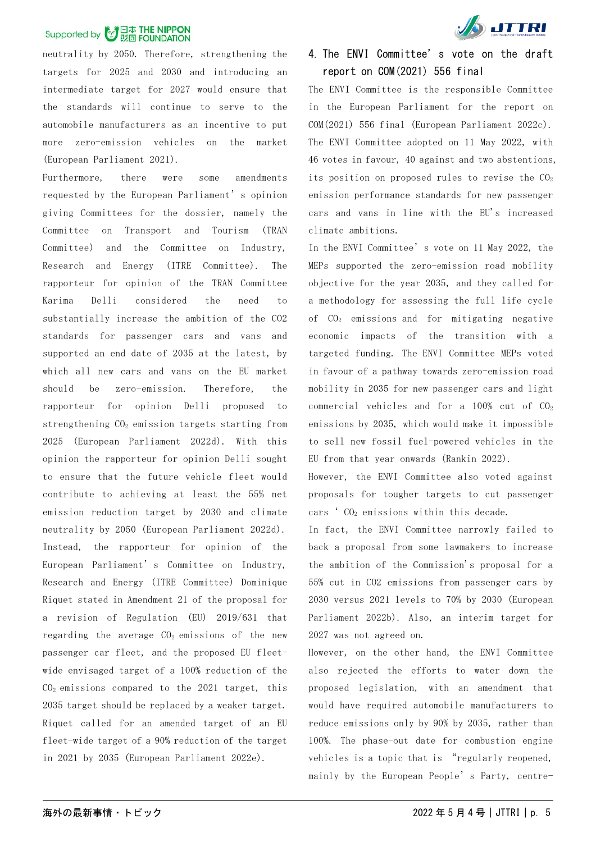neutrality by 2050. Therefore, strengthening the targets for 2025 and 2030 and introducing an intermediate target for 2027 would ensure that the standards will continue to serve to the automobile manufacturers as an incentive to put more zero-emission vehicles on the market (European Parliament 2021).

Furthermore, there were some amendments requested by the European Parliament's opinion giving Committees for the dossier, namely the Committee on Transport and Tourism (TRAN Committee) and the Committee on Industry, Research and Energy (ITRE Committee). The rapporteur for opinion of the TRAN Committee Karima Delli considered the need to substantially increase the ambition of the CO2 standards for passenger cars and vans and supported an end date of 2035 at the latest, by which all new cars and vans on the EU market should be zero-emission. Therefore, the rapporteur for opinion Delli proposed to strengthening  $CO<sub>2</sub>$  emission targets starting from 2025 (European Parliament 2022d). With this opinion the rapporteur for opinion Delli sought to ensure that the future vehicle fleet would contribute to achieving at least the 55% net emission reduction target by 2030 and climate neutrality by 2050 (European Parliament 2022d). Instead, the rapporteur for opinion of the European Parliament's Committee on Industry, Research and Energy (ITRE Committee) Dominique Riquet stated in Amendment 21 of the proposal for a revision of Regulation (EU) 2019/631 that regarding the average  $CO<sub>2</sub>$  emissions of the new passenger car fleet, and the proposed EU fleetwide envisaged target of a 100% reduction of the  $CO<sub>2</sub>$  emissions compared to the 2021 target, this 2035 target should be replaced by a weaker target. Riquet called for an amended target of an EU fleet-wide target of a 90% reduction of the target in 2021 by 2035 (European Parliament 2022e).



### 4. The ENVI Committee's vote on the draft report on COM(2021) 556 final

The ENVI Committee is the responsible Committee in the European Parliament for the report on COM(2021) 556 final (European Parliament 2022c). The ENVI Committee adopted on 11 May 2022, with 46 votes in favour, 40 against and two abstentions, its position on proposed rules to revise the  $CO<sub>2</sub>$ emission performance standards for new passenger cars and vans in line with the EU's increased climate ambitions.

In the ENVI Committee's vote on 11 May 2022, the MEPs supported the zero-emission road mobility objective for the year 2035, and they called for a methodology for assessing the full life cycle of CO2 emissions and for mitigating negative economic impacts of the transition with a targeted funding. The ENVI Committee MEPs voted in favour of a pathway towards zero-emission road mobility in 2035 for new passenger cars and light commercial vehicles and for a 100% cut of CO2 emissions by 2035, which would make it impossible to sell new fossil fuel-powered vehicles in the EU from that year onwards (Rankin 2022).

However, the ENVI Committee also voted against proposals for tougher targets to cut passenger cars  $^{\circ}$  CO<sub>2</sub> emissions within this decade.

In fact, the ENVI Committee narrowly failed to back a proposal from some lawmakers to increase the ambition of the Commission's proposal for a 55% cut in CO2 emissions from passenger cars by 2030 versus 2021 levels to 70% by 2030 (European Parliament 2022b). Also, an interim target for 2027 was not agreed on.

However, on the other hand, the ENVI Committee also rejected the efforts to water down the proposed legislation, with an amendment that would have required automobile manufacturers to reduce emissions only by 90% by 2035, rather than 100%. The phase-out date for combustion engine vehicles is a topic that is "regularly reopened, mainly by the European People's Party, centre-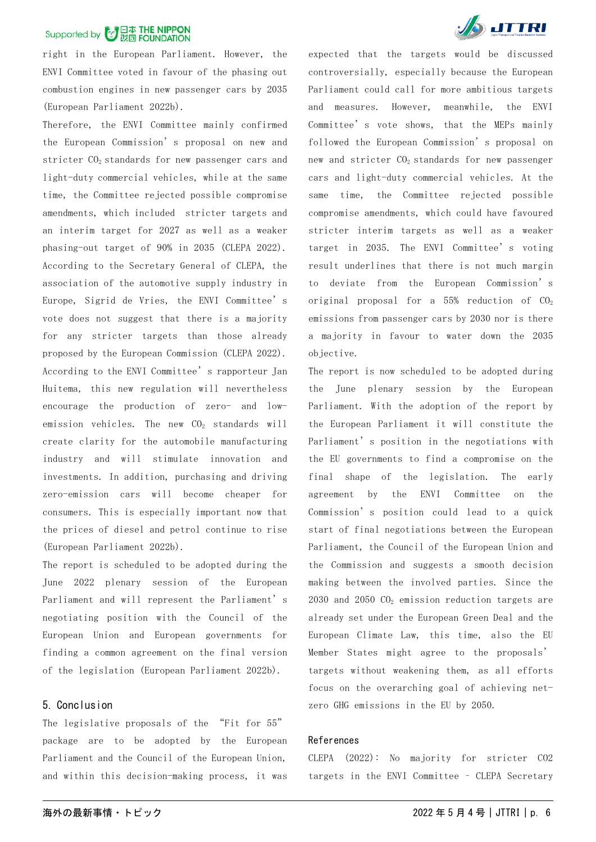right in the European Parliament. However, the ENVI Committee voted in favour of the phasing out combustion engines in new passenger cars by 2035 (European Parliament 2022b).

Therefore, the ENVI Committee mainly confirmed the European Commission's proposal on new and stricter  $CO<sub>2</sub>$  standards for new passenger cars and light-duty commercial vehicles, while at the same time, the Committee rejected possible compromise amendments, which included stricter targets and an interim target for 2027 as well as a weaker phasing-out target of 90% in 2035 (CLEPA 2022). According to the Secretary General of CLEPA, the association of the automotive supply industry in Europe, Sigrid de Vries, the ENVI Committee's vote does not suggest that there is a majority for any stricter targets than those already proposed by the European Commission (CLEPA 2022). According to the ENVI Committee's rapporteur Jan Huitema, this new regulation will nevertheless encourage the production of zero- and lowemission vehicles. The new  $CO<sub>2</sub>$  standards will create clarity for the automobile manufacturing industry and will stimulate innovation and investments. In addition, purchasing and driving zero-emission cars will become cheaper for consumers. This is especially important now that the prices of diesel and petrol continue to rise (European Parliament 2022b).

The report is scheduled to be adopted during the June 2022 plenary session of the European Parliament and will represent the Parliament's negotiating position with the Council of the European Union and European governments for finding a common agreement on the final version of the legislation (European Parliament 2022b).

#### 5. Conclusion

The legislative proposals of the "Fit for 55" package are to be adopted by the European Parliament and the Council of the European Union, and within this decision-making process, it was



expected that the targets would be discussed controversially, especially because the European Parliament could call for more ambitious targets and measures. However, meanwhile, the ENVI Committee's vote shows, that the MEPs mainly followed the European Commission's proposal on new and stricter  $CO<sub>2</sub>$  standards for new passenger cars and light-duty commercial vehicles. At the same time, the Committee rejected possible compromise amendments, which could have favoured stricter interim targets as well as a weaker target in 2035. The ENVI Committee's voting result underlines that there is not much margin to deviate from the European Commission's original proposal for a  $55%$  reduction of  $CO<sub>2</sub>$ emissions from passenger cars by 2030 nor is there a majority in favour to water down the 2035 objective.

The report is now scheduled to be adopted during the June plenary session by the European Parliament. With the adoption of the report by the European Parliament it will constitute the Parliament's position in the negotiations with the EU governments to find a compromise on the final shape of the legislation. The early agreement by the ENVI Committee on the Commission's position could lead to a quick start of final negotiations between the European Parliament, the Council of the European Union and the Commission and suggests a smooth decision making between the involved parties. Since the 2030 and 2050  $CO<sub>2</sub>$  emission reduction targets are already set under the European Green Deal and the European Climate Law, this time, also the EU Member States might agree to the proposals' targets without weakening them, as all efforts focus on the overarching goal of achieving netzero GHG emissions in the EU by 2050.

#### References

CLEPA (2022): No majority for stricter CO2 targets in the ENVI Committee – CLEPA Secretary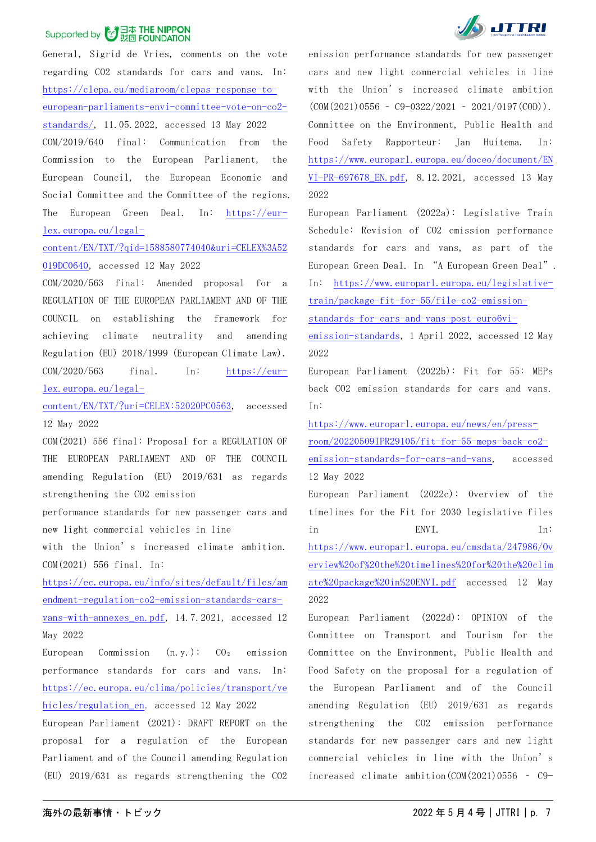General, Sigrid de Vries, comments on the vote regarding CO2 standards for cars and vans. In: [https://clepa.eu/mediaroom/clepas-response-to](https://clepa.eu/mediaroom/clepas-response-to-european-parliaments-envi-committee-vote-on-co2-standards/)[european-parliaments-envi-committee-vote-on-co2](https://clepa.eu/mediaroom/clepas-response-to-european-parliaments-envi-committee-vote-on-co2-standards/) [standards/,](https://clepa.eu/mediaroom/clepas-response-to-european-parliaments-envi-committee-vote-on-co2-standards/) 11.05.2022, accessed 13 May 2022 COM/2019/640 final: Communication from the Commission to the European Parliament, the European Council, the European Economic and Social Committee and the Committee of the regions. The European Green Deal. In: [https://eur](https://eur-lex.europa.eu/legal-content/EN/TXT/?qid=1588580774040&uri=CELEX%3A52019DC0640)[lex.europa.eu/legal-](https://eur-lex.europa.eu/legal-content/EN/TXT/?qid=1588580774040&uri=CELEX%3A52019DC0640)

### [content/EN/TXT/?qid=1588580774040&uri=CELEX%3A52](https://eur-lex.europa.eu/legal-content/EN/TXT/?qid=1588580774040&uri=CELEX%3A52019DC0640) [019DC0640,](https://eur-lex.europa.eu/legal-content/EN/TXT/?qid=1588580774040&uri=CELEX%3A52019DC0640) accessed 12 May 2022

COM/2020/563 final: Amended proposal for a REGULATION OF THE EUROPEAN PARLIAMENT AND OF THE COUNCIL on establishing the framework for achieving climate neutrality and amending Regulation (EU) 2018/1999 (European Climate Law). COM/2020/563 final. In: [https://eur](https://eur-lex.europa.eu/legal-content/EN/TXT/?uri=CELEX:52020PC0563)[lex.europa.eu/legal-](https://eur-lex.europa.eu/legal-content/EN/TXT/?uri=CELEX:52020PC0563)

[content/EN/TXT/?uri=CELEX:52020PC0563,](https://eur-lex.europa.eu/legal-content/EN/TXT/?uri=CELEX:52020PC0563) accessed 12 May 2022

COM(2021) 556 final: Proposal for a REGULATION OF THE EUROPEAN PARLIAMENT AND OF THE COUNCIL amending Regulation (EU) 2019/631 as regards strengthening the CO2 emission

performance standards for new passenger cars and new light commercial vehicles in line

with the Union's increased climate ambition. COM(2021) 556 final. In:

[https://ec.europa.eu/info/sites/default/files/am](https://ec.europa.eu/info/sites/default/files/amendment-regulation-co2-emission-standards-cars-vans-with-annexes_en.pdf) [endment-regulation-co2-emission-standards-cars](https://ec.europa.eu/info/sites/default/files/amendment-regulation-co2-emission-standards-cars-vans-with-annexes_en.pdf)[vans-with-annexes\\_en.pdf,](https://ec.europa.eu/info/sites/default/files/amendment-regulation-co2-emission-standards-cars-vans-with-annexes_en.pdf) 14.7.2021, accessed 12 May 2022

European Commission  $(n, y.):$   $CO<sub>2</sub>$  emission performance standards for cars and vans. In: [https://ec.europa.eu/clima/policies/transport/ve](https://ec.europa.eu/clima/policies/transport/vehicles/regulation_en) [hicles/regulation\\_en,](https://ec.europa.eu/clima/policies/transport/vehicles/regulation_en) accessed 12 May 2022

European Parliament (2021): DRAFT REPORT on the proposal for a regulation of the European Parliament and of the Council amending Regulation (EU) 2019/631 as regards strengthening the CO2



emission performance standards for new passenger cars and new light commercial vehicles in line with the Union's increased climate ambition  $(COM(2021)0556 - C9-0322/2021 - 2021/0197(C0D))$ . Committee on the Environment, Public Health and Food Safety Rapporteur: Jan Huitema. In: [https://www.europarl.europa.eu/doceo/document/EN](https://www.europarl.europa.eu/doceo/document/ENVI-PR-697678_EN.pdf) [VI-PR-697678\\_EN.pdf,](https://www.europarl.europa.eu/doceo/document/ENVI-PR-697678_EN.pdf) 8.12.2021, accessed 13 May 2022

European Parliament (2022a): Legislative Train Schedule: Revision of CO2 emission performance standards for cars and vans, as part of the European Green Deal. In "A European Green Deal". In: [https://www.europarl.europa.eu/legislative](https://www.europarl.europa.eu/legislative-train/package-fit-for-55/file-co2-emission-standards-for-cars-and-vans-post-euro6vi-emission-standards)[train/package-fit-for-55/file-co2-emission](https://www.europarl.europa.eu/legislative-train/package-fit-for-55/file-co2-emission-standards-for-cars-and-vans-post-euro6vi-emission-standards)[standards-for-cars-and-vans-post-euro6vi-](https://www.europarl.europa.eu/legislative-train/package-fit-for-55/file-co2-emission-standards-for-cars-and-vans-post-euro6vi-emission-standards)

[emission-standards,](https://www.europarl.europa.eu/legislative-train/package-fit-for-55/file-co2-emission-standards-for-cars-and-vans-post-euro6vi-emission-standards) 1 April 2022, accessed 12 May 2022

European Parliament (2022b): Fit for 55: MEPs back CO2 emission standards for cars and vans. In:

[https://www.europarl.europa.eu/news/en/press](https://www.europarl.europa.eu/news/en/press-room/20220509IPR29105/fit-for-55-meps-back-co2-emission-standards-for-cars-and-vans)[room/20220509IPR29105/fit-for-55-meps-back-co2](https://www.europarl.europa.eu/news/en/press-room/20220509IPR29105/fit-for-55-meps-back-co2-emission-standards-for-cars-and-vans) [emission-standards-for-cars-and-vans,](https://www.europarl.europa.eu/news/en/press-room/20220509IPR29105/fit-for-55-meps-back-co2-emission-standards-for-cars-and-vans) accessed 12 May 2022

European Parliament (2022c): Overview of the timelines for the Fit for 2030 legislative files in ENVI. In: [https://www.europarl.europa.eu/cmsdata/247986/Ov](https://www.europarl.europa.eu/cmsdata/247986/Overview%20of%20the%20timelines%20for%20the%20climate%20package%20in%20ENVI.pdf) [erview%20of%20the%20timelines%20for%20the%20clim](https://www.europarl.europa.eu/cmsdata/247986/Overview%20of%20the%20timelines%20for%20the%20climate%20package%20in%20ENVI.pdf) [ate%20package%20in%20ENVI.pdf](https://www.europarl.europa.eu/cmsdata/247986/Overview%20of%20the%20timelines%20for%20the%20climate%20package%20in%20ENVI.pdf) accessed 12 May 2022

European Parliament (2022d): OPINION of the Committee on Transport and Tourism for the Committee on the Environment, Public Health and Food Safety on the proposal for a regulation of the European Parliament and of the Council amending Regulation (EU) 2019/631 as regards strengthening the CO2 emission performance standards for new passenger cars and new light commercial vehicles in line with the Union's increased climate ambition(COM(2021)0556 – C9-